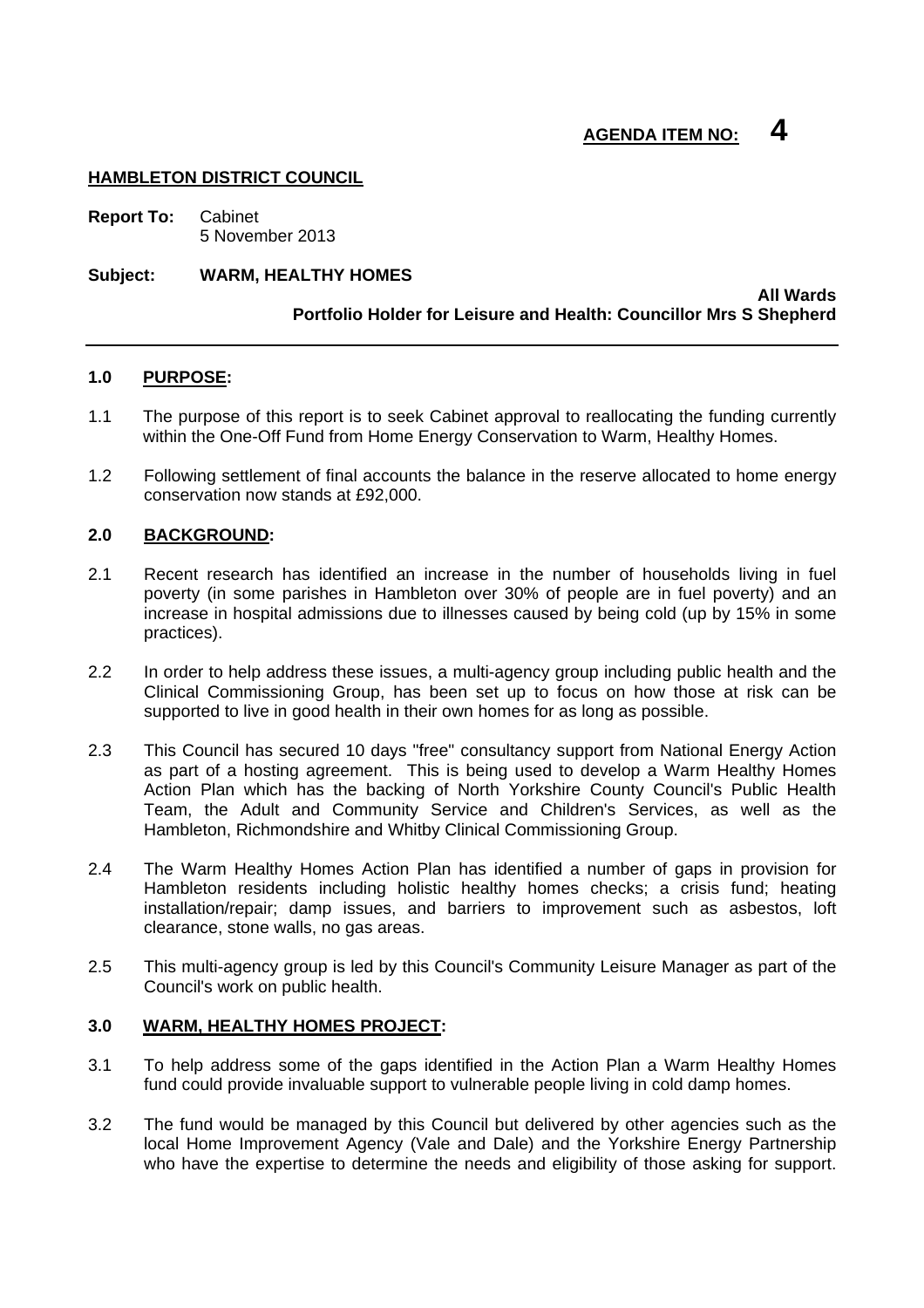# **AGENDA ITEM NO: 4**

## **HAMBLETON DISTRICT COUNCIL**

**Report To:** Cabinet 5 November 2013

## **Subject: WARM, HEALTHY HOMES**

#### **All Wards Portfolio Holder for Leisure and Health: Councillor Mrs S Shepherd**

## **1.0 PURPOSE:**

- 1.1 The purpose of this report is to seek Cabinet approval to reallocating the funding currently within the One-Off Fund from Home Energy Conservation to Warm, Healthy Homes.
- 1.2 Following settlement of final accounts the balance in the reserve allocated to home energy conservation now stands at £92,000.

## **2.0 BACKGROUND:**

- 2.1 Recent research has identified an increase in the number of households living in fuel poverty (in some parishes in Hambleton over 30% of people are in fuel poverty) and an increase in hospital admissions due to illnesses caused by being cold (up by 15% in some practices).
- 2.2 In order to help address these issues, a multi-agency group including public health and the Clinical Commissioning Group, has been set up to focus on how those at risk can be supported to live in good health in their own homes for as long as possible.
- 2.3 This Council has secured 10 days "free" consultancy support from National Energy Action as part of a hosting agreement. This is being used to develop a Warm Healthy Homes Action Plan which has the backing of North Yorkshire County Council's Public Health Team, the Adult and Community Service and Children's Services, as well as the Hambleton, Richmondshire and Whitby Clinical Commissioning Group.
- 2.4 The Warm Healthy Homes Action Plan has identified a number of gaps in provision for Hambleton residents including holistic healthy homes checks; a crisis fund; heating installation/repair; damp issues, and barriers to improvement such as asbestos, loft clearance, stone walls, no gas areas.
- 2.5 This multi-agency group is led by this Council's Community Leisure Manager as part of the Council's work on public health.

## **3.0 WARM, HEALTHY HOMES PROJECT:**

- 3.1 To help address some of the gaps identified in the Action Plan a Warm Healthy Homes fund could provide invaluable support to vulnerable people living in cold damp homes.
- 3.2 The fund would be managed by this Council but delivered by other agencies such as the local Home Improvement Agency (Vale and Dale) and the Yorkshire Energy Partnership who have the expertise to determine the needs and eligibility of those asking for support.